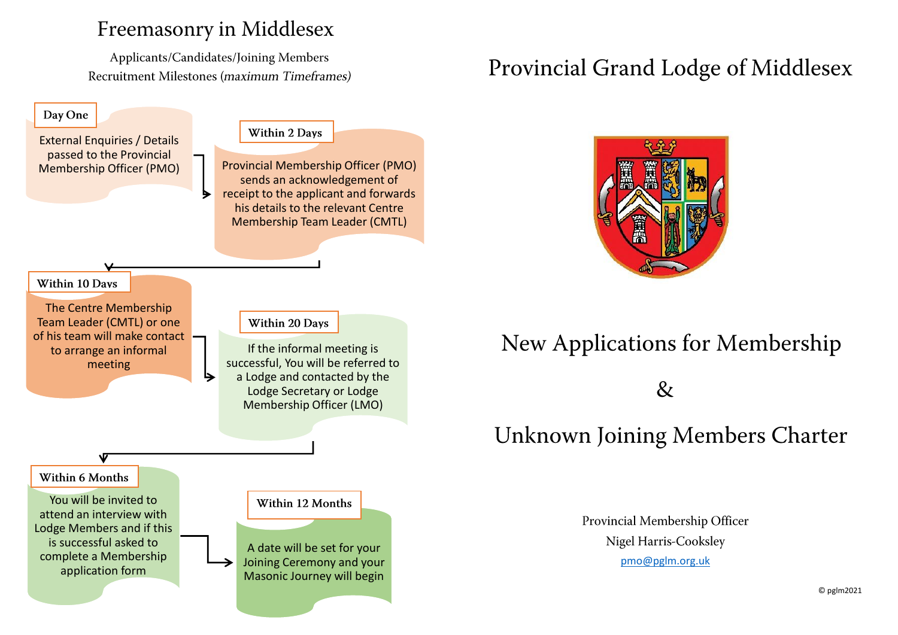### Freemasonry in Middlesex

Applicants/Candidates/Joining Members Recruitment Milestones (maximum Timeframes)



## **Provincial Grand Lodge of Middlesex**



## New Applications for Membership

 $\&$ 

## Unknown Joining Members Charter

Provincial Membership Officer Nigel Harris-Cooksley [pmo@pglm.org.uk](mailto:pmo@pglm.org.uk)

© pglm2021